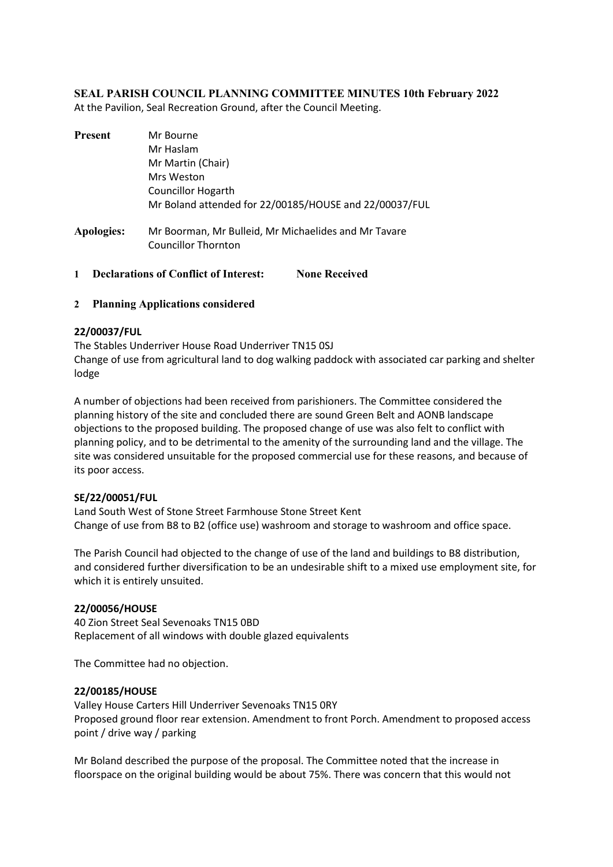## **SEAL PARISH COUNCIL PLANNING COMMITTEE MINUTES 10th February 2022**

At the Pavilion, Seal Recreation Ground, after the Council Meeting.

| Mr Bourne                                                                          |
|------------------------------------------------------------------------------------|
| Mr Haslam                                                                          |
| Mr Martin (Chair)                                                                  |
| Mrs Weston                                                                         |
| <b>Councillor Hogarth</b>                                                          |
| Mr Boland attended for 22/00185/HOUSE and 22/00037/FUL                             |
| Mr Boorman, Mr Bulleid, Mr Michaelides and Mr Tavare<br><b>Councillor Thornton</b> |
|                                                                                    |

**1 Declarations of Conflict of Interest: None Received**

### **2 Planning Applications considered**

### **22/00037/FUL**

The Stables Underriver House Road Underriver TN15 0SJ Change of use from agricultural land to dog walking paddock with associated car parking and shelter lodge

A number of objections had been received from parishioners. The Committee considered the planning history of the site and concluded there are sound Green Belt and AONB landscape objections to the proposed building. The proposed change of use was also felt to conflict with planning policy, and to be detrimental to the amenity of the surrounding land and the village. The site was considered unsuitable for the proposed commercial use for these reasons, and because of its poor access.

### **SE/22/00051/FUL**

Land South West of Stone Street Farmhouse Stone Street Kent Change of use from B8 to B2 (office use) washroom and storage to washroom and office space.

The Parish Council had objected to the change of use of the land and buildings to B8 distribution, and considered further diversification to be an undesirable shift to a mixed use employment site, for which it is entirely unsuited.

#### **22/00056/HOUSE**

40 Zion Street Seal Sevenoaks TN15 0BD Replacement of all windows with double glazed equivalents

The Committee had no objection.

#### **22/00185/HOUSE**

Valley House Carters Hill Underriver Sevenoaks TN15 0RY Proposed ground floor rear extension. Amendment to front Porch. Amendment to proposed access point / drive way / parking

Mr Boland described the purpose of the proposal. The Committee noted that the increase in floorspace on the original building would be about 75%. There was concern that this would not